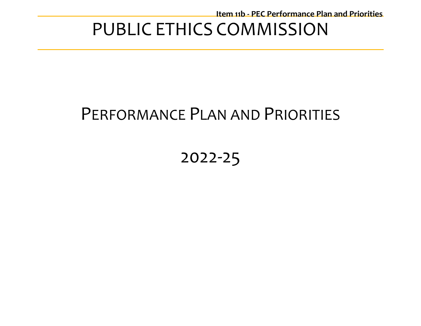# PUBLIC ETHICS COMMISSION

# PERFORMANCE PLAN AND PRIORITIES

# 2022-25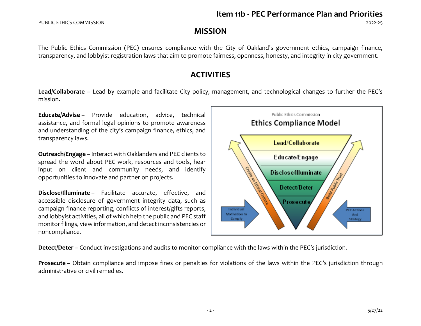# **MISSION**

The Public Ethics Commission (PEC) ensures compliance with the City of Oakland's government ethics, campaign finance, transparency, and lobbyist registration laws that aim to promote fairness, openness, honesty, and integrity in city government.

# **ACTIVITIES**

**Lead/Collaborate** – Lead by example and facilitate City policy, management, and technological changes to further the PEC's mission.

**Educate/Advise** – Provide education, advice, technical assistance, and formal legal opinions to promote awareness and understanding of the city's campaign finance, ethics, and transparency laws.

**Outreach/Engage** – Interact with Oaklanders and PEC clients to spread the word about PEC work, resources and tools, hear input on client and community needs, and identify opportunities to innovate and partner on projects.

**Disclose/Illuminate** – Facilitate accurate, effective, and accessible disclosure of government integrity data, such as campaign finance reporting, conflicts of interest/gifts reports, and lobbyist activities, all of which help the public and PEC staff monitor filings, view information, and detect inconsistencies or noncompliance.



**Detect/Deter** – Conduct investigations and audits to monitor compliance with the laws within the PEC's jurisdiction.

**Prosecute** – Obtain compliance and impose fines or penalties for violations of the laws within the PEC's jurisdiction through administrative or civil remedies.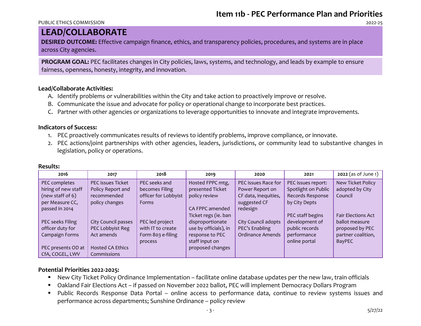#### PUBLIC ETHICS COMMISSION 2022-25

# **LEAD/COLLABORATE**

**DESIRED OUTCOME:** Effective campaign finance, ethics, and transparency policies, procedures, and systems are in place across City agencies.

**PROGRAM GOAL:** PEC facilitates changes in City policies, laws, systems, and technology, and leads by example to ensure fairness, openness, honesty, integrity, and innovation.

## **Lead/Collaborate Activities:**

- A. Identify problems or vulnerabilities within the City and take action to proactively improve or resolve.
- B. Communicate the issue and advocate for policy or operational change to incorporate best practices.
- C. Partner with other agencies or organizations to leverage opportunities to innovate and integrate improvements.

# **Indicators of Success:**

- 1. PEC proactively communicates results of reviews to identify problems, improve compliance, or innovate.
- 2. PEC actions/joint partnerships with other agencies, leaders, jurisdictions, or community lead to substantive changes in legislation, policy or operations.

| 2016                | 2017                     | 2018                 | 2019                  | 2020                    | 2021                | $2022$ (as of June 1)     |
|---------------------|--------------------------|----------------------|-----------------------|-------------------------|---------------------|---------------------------|
| PEC completes       | <b>PEC</b> issues Ticket | PEC seeks and        | Hosted FPPC mtg,      | PEC issues Race for     | PEC issues report:  | New Ticket Policy         |
| hiring of new staff | Policy Report and        | becomes Filing       | presented Ticket      | Power Report on         | Spotlight on Public | adopted by City           |
| (new staff of 6)    | recommended              | officer for Lobbyist | policy review         | CF data, inequities,    | Records Response    | Council                   |
| per Measure CC,     | policy changes           | <b>Forms</b>         |                       | suggested CF            | by City Depts       |                           |
| passed in 2014      |                          |                      | CA FPPC amended       | redesign                |                     |                           |
|                     |                          |                      | Ticket regs (ie. ban  |                         | PEC staff begins    | <b>Fair Elections Act</b> |
| PEC seeks Filing    | City Council passes      | PEC led project      | disproportionate      | City Council adopts     | development of      | ballot measure            |
| officer duty for    | PEC Lobbyist Reg         | with IT to create    | use by officials), in | PEC's Enabling          | public records      | proposed by PEC           |
| Campaign Forms      | Act amends               | Form 803 e-filing    | response to PEC       | <b>Ordinance Amends</b> | performance         | partner coalition,        |
|                     |                          | process              | staff input on        |                         | online portal       | BayPEC                    |
| PEC presents OD at  | <b>Hosted CA Ethics</b>  |                      | proposed changes      |                         |                     |                           |
| CfA, COGEL, LWV     | Commissions              |                      |                       |                         |                     |                           |

# **Results:**

- New City Ticket Policy Ordinance Implementation facilitate online database updates per the new law, train officials
- Oakland Fair Elections Act if passed on November 2022 ballot, PEC will implement Democracy Dollars Program
- Public Records Response Data Portal online access to performance data, continue to review systems issues and performance across departments; Sunshine Ordinance – policy review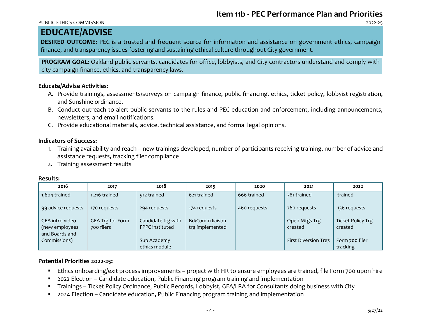#### PUBLIC ETHICS COMMISSION 2022-25

# **EDUCATE/ADVISE**

**DESIRED OUTCOME:** PEC is a trusted and frequent source for information and assistance on government ethics, campaign finance, and transparency issues fostering and sustaining ethical culture throughout City government.

**PROGRAM GOAL:** Oakland public servants, candidates for office, lobbyists, and City contractors understand and comply with city campaign finance, ethics, and transparency laws.

## **Educate/Advise Activities:**

- A. Provide trainings, assessments/surveys on campaign finance, public financing, ethics, ticket policy, lobbyist registration, and Sunshine ordinance.
- B. Conduct outreach to alert public servants to the rules and PEC education and enforcement, including announcements, newsletters, and email notifications.
- C. Provide educational materials, advice, technical assistance, and formal legal opinions.

## **Indicators of Success:**

- 1. Training availability and reach new trainings developed, number of participants receiving training, number of advice and assistance requests, tracking filer compliance
- 2. Training assessment results

| 2016                                                | 2017                           | 2018                                  | 2019                               | 2020         | 2021                        | 2022                                |
|-----------------------------------------------------|--------------------------------|---------------------------------------|------------------------------------|--------------|-----------------------------|-------------------------------------|
| 1,604 trained                                       | 1,216 trained                  | 912 trained                           | 621 trained                        | 666 trained  | 781 trained                 | trained                             |
| 99 advice requests                                  | 170 requests                   | 294 requests                          | 174 requests                       | 460 requests | 260 requests                | 136 requests                        |
| GEA intro video<br>(new employees<br>and Boards and | GEA Trg for Form<br>700 filers | Candidate trg with<br>FPPC instituted | Bd/Comm liaison<br>trg implemented |              | Open Mtgs Trg<br>created    | <b>Ticket Policy Trg</b><br>created |
| Commissions)                                        |                                | Sup Academy<br>ethics module          |                                    |              | <b>First Diversion Trgs</b> | Form 700 filer<br>tracking          |

# **Results:**

- Ethics onboarding/exit process improvements project with HR to ensure employees are trained, file Form 700 upon hire
- 2022 Election Candidate education, Public Financing program training and implementation
- Trainings Ticket Policy Ordinance, Public Records, Lobbyist, GEA/LRA for Consultants doing business with City
- 2024 Election Candidate education, Public Financing program training and implementation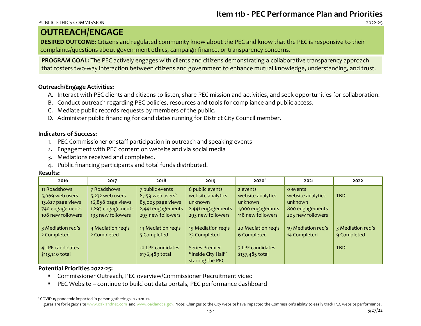#### PUBLIC ETHICS COMMISSION 2022-25

# **OUTREACH/ENGAGE**

**DESIRED OUTCOME:** Citizens and regulated community know about the PEC and know that the PEC is responsive to their complaints/questions about government ethics, campaign finance, or transparency concerns.

**PROGRAM GOAL:** The PEC actively engages with clients and citizens demonstrating a collaborative transparency approach that fosters two-way interaction between citizens and government to enhance mutual knowledge, understanding, and trust.

# **Outreach/Engage Activities:**

- A. Interact with PEC clients and citizens to listen, share PEC mission and activities, and seek opportunities for collaboration.
- B. Conduct outreach regarding PEC policies, resources and tools for compliance and public access.
- C. Mediate public records requests by members of the public.
- D. Administer public financing for candidates running for District City Council member.

# **Indicators of Success:**

- 1. PEC Commissioner or staff participation in outreach and speaking events
- 2. Engagement with PEC content on website and via social media
- 3. Mediations received and completed.
- 4. Public financing participants and total funds distributed.

## **Results:**

| 2016                                 | 2017              | 2018                                 | 2019                                                     | 2020 <sup>1</sup>                   | 2021               | 2022              |
|--------------------------------------|-------------------|--------------------------------------|----------------------------------------------------------|-------------------------------------|--------------------|-------------------|
| 11 Roadshows                         | 7 Roadshows       | 7 public events                      | 6 public events                                          | 2 events                            | o events           | <b>TBD</b>        |
| 5,069 web users                      | 5,232 web users   | 8,159 web users <sup>2</sup>         | website analytics                                        | website analytics                   | website analytics  |                   |
| 13,827 page views                    | 16,858 page views | 85,003 page views                    | unknown                                                  | unknown                             | unknown            |                   |
| 740 engagements                      | 1,293 engagements | 2,441 engagements                    | 2,441 engagements                                        | 1,000 engagemnts                    | 800 engagements    |                   |
| 108 new followers                    | 193 new followers | 293 new followers                    | 293 new followers                                        | 118 new followers                   | 205 new followers  |                   |
| 3 Mediation req's                    | 4 Mediation req's | 14 Mediation req's                   | 19 Mediation req's                                       | 20 Mediation req's                  | 19 Mediation req's | 3 Mediation req's |
| 2 Completed                          | 2 Completed       | 5 Completed                          | 23 Completed                                             | 6 Completed                         | 14 Completed       | 9 Completed       |
| 4 LPF candidates<br>$$113,140$ total |                   | 10 LPF candidates<br>\$176,489 total | Series Premier<br>"Inside City Hall"<br>starring the PEC | 7 LPF candidates<br>\$137,485 total |                    | <b>TBD</b>        |

- Commissioner Outreach, PEC overview/Commissioner Recruitment video
- PEC Website continue to build out data portals, PEC performance dashboard

<sup>1</sup> COVID 19 pandemic impacted in-person gatherings in 2020-21.

<sup>&</sup>lt;sup>2</sup> Figures are for legacy sit[e www.oaklandnet.com](http://www.oaklandnet.com/) an[d www.oaklandca.gov.](http://www.oaklandca.gov/) Note: Changes to the City website have impacted the Commission's ability to easily track PEC website performance.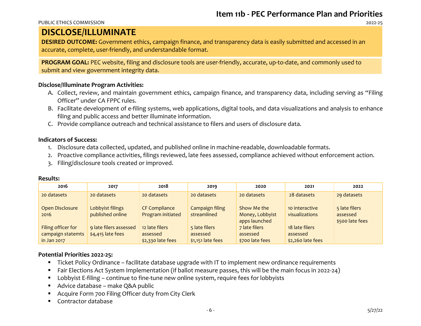#### PUBLIC ETHICS COMMISSION 2022-25

# **DISCLOSE/ILLUMINATE**

**DESIRED OUTCOME:** Government ethics, campaign finance, and transparency data is easily submitted and accessed in an accurate, complete, user-friendly, and understandable format.

**PROGRAM GOAL:** PEC website, filing and disclosure tools are user-friendly, accurate, up-to-date, and commonly used to submit and view government integrity data.

# **Disclose/Illuminate Program Activities:**

- A. Collect, review, and maintain government ethics, campaign finance, and transparency data, including serving as "Filing Officer" under CA FPPC rules.
- B. Facilitate development of e-filing systems, web applications, digital tools, and data visualizations and analysis to enhance filing and public access and better illuminate information.
- C. Provide compliance outreach and technical assistance to filers and users of disclosure data.

# **Indicators of Success:**

- 1. Disclosure data collected, updated, and published online in machine-readable, downloadable formats.
- 2. Proactive compliance activities, filings reviewed, late fees assessed, compliance achieved without enforcement action.
- 3. Filing/disclosure tools created or improved.

## **Results:**

| 2016               | 2017                   | 2018                 | 2019               | 2020            | 2021              | 2022            |
|--------------------|------------------------|----------------------|--------------------|-----------------|-------------------|-----------------|
| 20 datasets        | 20 datasets            | 20 datasets          | 20 datasets        | 20 datasets     | 28 datasets       | 29 datasets     |
| Open Disclosure    | Lobbyist filings       | <b>CF Compliance</b> | Campaign filing    | Show Me the     | 10 interactive    | 5 late filers   |
| 2016               | published online       | Program initiated    | streamlined        | Money, Lobbyist | visualizations    | assessed        |
|                    |                        |                      |                    | apps launched   |                   | \$500 late fees |
| Filing officer for | 9 late filers assessed | 12 late filers       | 5 late filers      | 7 late filers   | 18 late filers    |                 |
| campaign statemts  | \$4,415 late fees      | assessed             | assessed           | assessed        | assessed          |                 |
| in Jan 2017        |                        | \$2,330 late fees    | $$1,151$ late fees | \$700 late fees | \$2,260 late fees |                 |

- Ticket Policy Ordinance facilitate database upgrade with IT to implement new ordinance requirements
- Fair Elections Act System Implementation (if ballot measure passes, this will be the main focus in 2022-24)
- Lobbyist E-filing continue to fine-tune new online system, require fees for lobbyists
- Advice database make Q&A public
- Acquire Form 700 Filing Officer duty from City Clerk
- Contractor database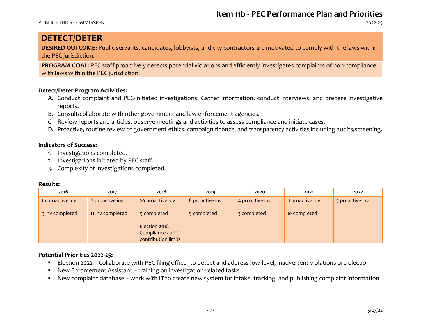PUBLIC ETHICS COMMISSION 2022-25

# **DETECT/DETER**

**DESIRED OUTCOME:** Public servants, candidates, lobbyists, and city contractors are motivated to comply with the laws within the PEC jurisdiction.

**PROGRAM GOAL:** PEC staff proactively detects potential violations and efficiently investigates complaints of non-compliance with laws within the PEC jurisdiction.

# **Detect/Deter Program Activities:**

- A. Conduct complaint and PEC-initiated investigations. Gather information, conduct interviews, and prepare investigative reports.
- B. Consult/collaborate with other government and law enforcement agencies.
- C. Review reports and articles, observe meetings and activities to assess compliance and initiate cases.
- D. Proactive, routine review of government ethics, campaign finance, and transparency activities including audits/screening.

# **Indicators of Success:**

- 1. Investigations completed.
- 2. Investigations initiated by PEC staff.
- 3. Complexity of investigations completed.

## **Results:**

| 2016             | 2017             | 2018                | 2019            | 2020            | 2021            | 2022            |
|------------------|------------------|---------------------|-----------------|-----------------|-----------------|-----------------|
| 16 proactive inv | 6 proactive inv  | 20 proactive inv    | 8 proactive inv | 4 proactive inv | 1 proactive inv | 5 proactive inv |
| 9 inv completed  | 11 inv completed | 9 completed         | 9 completed     | 3 completed     | 10 completed    |                 |
|                  |                  | Election 2018       |                 |                 |                 |                 |
|                  |                  | Compliance audit -  |                 |                 |                 |                 |
|                  |                  | contribution limits |                 |                 |                 |                 |

- Election 2022 Collaborate with PEC filing officer to detect and address low-level, inadvertent violations pre-election
- New Enforcement Assistant training on investigation-related tasks
- New complaint database work with IT to create new system for intake, tracking, and publishing complaint information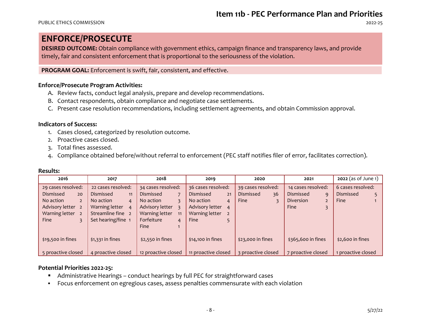# **ENFORCE/PROSECUTE**

**DESIRED OUTCOME:** Obtain compliance with government ethics, campaign finance and transparency laws, and provide timely, fair and consistent enforcement that is proportional to the seriousness of the violation.

**PROGRAM GOAL:** Enforcement is swift, fair, consistent, and effective.

# **Enforce/Prosecute Program Activities:**

- A. Review facts, conduct legal analysis, prepare and develop recommendations.
- B. Contact respondents, obtain compliance and negotiate case settlements.
- C. Present case resolution recommendations, including settlement agreements, and obtain Commission approval.

## **Indicators of Success:**

- 1. Cases closed, categorized by resolution outcome.
- 2. Proactive cases closed.
- 3. Total fines assessed.
- 4. Compliance obtained before/without referral to enforcement (PEC staff notifies filer of error, facilitates correction).

| 2016                              | 2017                             | 2018                 | 2019                              | 2020               | 2021               | 2022 (as of June 1) |
|-----------------------------------|----------------------------------|----------------------|-----------------------------------|--------------------|--------------------|---------------------|
| 29 cases resolved:                | 22 cases resolved:               | 34 cases resolved:   | 36 cases resolved:                | 39 cases resolved: | 14 cases resolved: | 6 cases resolved:   |
| Dismissed<br>20                   | <b>Dismissed</b><br>11           | Dismissed            | Dismissed<br>21                   | Dismissed<br>36    | Dismissed<br>9     | Dismissed           |
| No action<br>$\overline{2}$       | No action<br>$\overline{4}$      | No action            | No action<br>$\overline{4}$       | Fine               | <b>Diversion</b>   | <b>Fine</b>         |
| Advisory letter<br>$\overline{2}$ | Warning letter<br>$\overline{4}$ | Advisory letter      | Advisory letter<br>$\overline{a}$ |                    | Fine               |                     |
| Warning letter<br><sup>2</sup>    | Streamline fine 2                | Warning letter<br>11 | Warning letter<br>2               |                    |                    |                     |
| <b>Fine</b>                       | Set hearing/fine 1               | Forfeiture<br>4      | Fine                              |                    |                    |                     |
|                                   |                                  | Fine                 |                                   |                    |                    |                     |
| \$19,500 in fines                 | $$1,331$ in fines                | $$2,550$ in fines    | \$14,100 in fines                 | \$23,000 in fines  | \$365,600 in fines | \$2,600 in fines    |
| 5 proactive closed                | 4 proactive closed               | 12 proactive closed  | 11 proactive closed               | 3 proactive closed | 7 proactive closed | 1 proactive closed  |

## **Results:**

- Administrative Hearings conduct hearings by full PEC for straightforward cases
- Focus enforcement on egregious cases, assess penalties commensurate with each violation